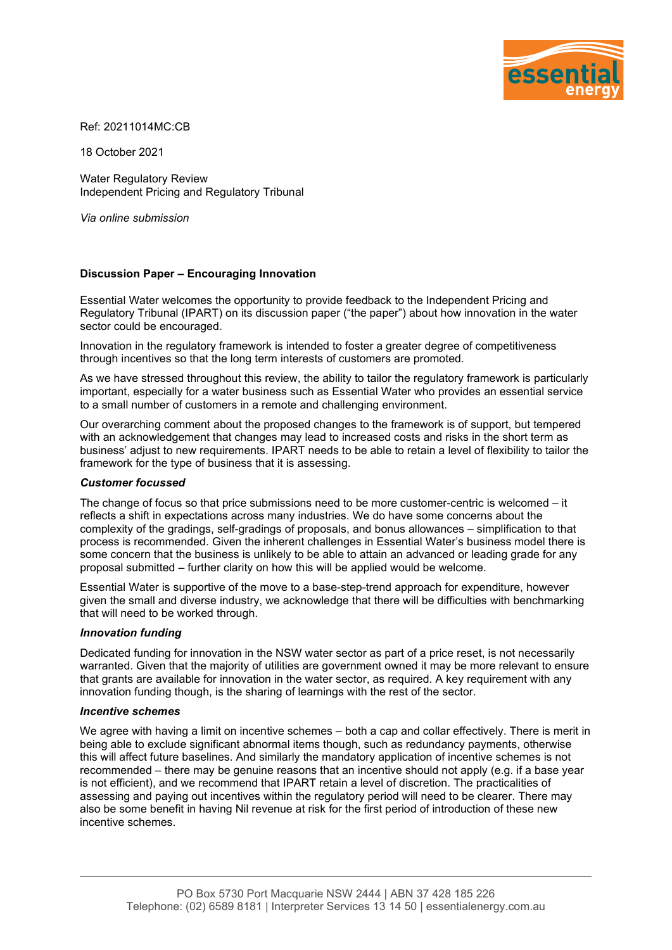

Ref: 20211014MC:CB

18 October 2021

Water Regulatory Review Independent Pricing and Regulatory Tribunal

*Via online submission*

# **Discussion Paper – Encouraging Innovation**

Essential Water welcomes the opportunity to provide feedback to the Independent Pricing and Regulatory Tribunal (IPART) on its discussion paper ("the paper") about how innovation in the water sector could be encouraged.

Innovation in the regulatory framework is intended to foster a greater degree of competitiveness through incentives so that the long term interests of customers are promoted.

As we have stressed throughout this review, the ability to tailor the regulatory framework is particularly important, especially for a water business such as Essential Water who provides an essential service to a small number of customers in a remote and challenging environment.

Our overarching comment about the proposed changes to the framework is of support, but tempered with an acknowledgement that changes may lead to increased costs and risks in the short term as business' adjust to new requirements. IPART needs to be able to retain a level of flexibility to tailor the framework for the type of business that it is assessing.

## *Customer focussed*

The change of focus so that price submissions need to be more customer-centric is welcomed – it reflects a shift in expectations across many industries. We do have some concerns about the complexity of the gradings, self-gradings of proposals, and bonus allowances – simplification to that process is recommended. Given the inherent challenges in Essential Water's business model there is some concern that the business is unlikely to be able to attain an advanced or leading grade for any proposal submitted – further clarity on how this will be applied would be welcome.

Essential Water is supportive of the move to a base-step-trend approach for expenditure, however given the small and diverse industry, we acknowledge that there will be difficulties with benchmarking that will need to be worked through.

## *Innovation funding*

Dedicated funding for innovation in the NSW water sector as part of a price reset, is not necessarily warranted. Given that the majority of utilities are government owned it may be more relevant to ensure that grants are available for innovation in the water sector, as required. A key requirement with any innovation funding though, is the sharing of learnings with the rest of the sector.

## *Incentive schemes*

We agree with having a limit on incentive schemes – both a cap and collar effectively. There is merit in being able to exclude significant abnormal items though, such as redundancy payments, otherwise this will affect future baselines. And similarly the mandatory application of incentive schemes is not recommended – there may be genuine reasons that an incentive should not apply (e.g. if a base year is not efficient), and we recommend that IPART retain a level of discretion. The practicalities of assessing and paying out incentives within the regulatory period will need to be clearer. There may also be some benefit in having Nil revenue at risk for the first period of introduction of these new incentive schemes.